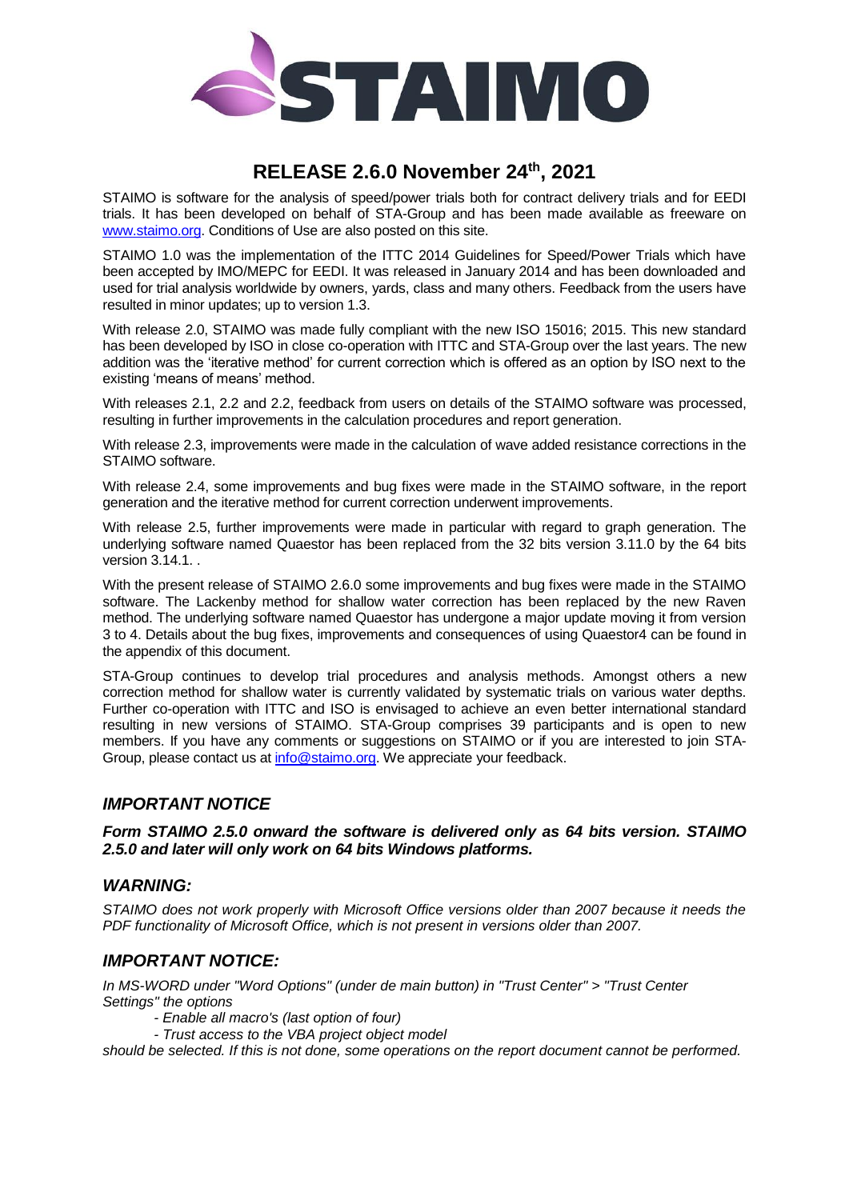

# **RELEASE 2.6.0 November 24th , 2021**

STAIMO is software for the analysis of speed/power trials both for contract delivery trials and for EEDI trials. It has been developed on behalf of STA-Group and has been made available as freeware on [www.staimo.org.](http://www.staimo.org/) Conditions of Use are also posted on this site.

STAIMO 1.0 was the implementation of the ITTC 2014 Guidelines for Speed/Power Trials which have been accepted by IMO/MEPC for EEDI. It was released in January 2014 and has been downloaded and used for trial analysis worldwide by owners, yards, class and many others. Feedback from the users have resulted in minor updates; up to version 1.3.

With release 2.0, STAIMO was made fully compliant with the new ISO 15016; 2015. This new standard has been developed by ISO in close co-operation with ITTC and STA-Group over the last years. The new addition was the 'iterative method' for current correction which is offered as an option by ISO next to the existing 'means of means' method.

With releases 2.1, 2.2 and 2.2, feedback from users on details of the STAIMO software was processed, resulting in further improvements in the calculation procedures and report generation.

With release 2.3, improvements were made in the calculation of wave added resistance corrections in the STAIMO software.

With release 2.4, some improvements and bug fixes were made in the STAIMO software, in the report generation and the iterative method for current correction underwent improvements.

With release 2.5, further improvements were made in particular with regard to graph generation. The underlying software named Quaestor has been replaced from the 32 bits version 3.11.0 by the 64 bits version 3.14.1. .

With the present release of STAIMO 2.6.0 some improvements and bug fixes were made in the STAIMO software. The Lackenby method for shallow water correction has been replaced by the new Raven method. The underlying software named Quaestor has undergone a major update moving it from version 3 to 4. Details about the bug fixes, improvements and consequences of using Quaestor4 can be found in the appendix of this document.

STA-Group continues to develop trial procedures and analysis methods. Amongst others a new correction method for shallow water is currently validated by systematic trials on various water depths. Further co-operation with ITTC and ISO is envisaged to achieve an even better international standard resulting in new versions of STAIMO. STA-Group comprises 39 participants and is open to new members. If you have any comments or suggestions on STAIMO or if you are interested to join STA-Group, please contact us at [info@staimo.org.](mailto:info@staimo.org) We appreciate your feedback.

## *IMPORTANT NOTICE*

#### *Form STAIMO 2.5.0 onward the software is delivered only as 64 bits version. STAIMO 2.5.0 and later will only work on 64 bits Windows platforms.*

### *WARNING:*

*STAIMO does not work properly with Microsoft Office versions older than 2007 because it needs the PDF functionality of Microsoft Office, which is not present in versions older than 2007.*

### *IMPORTANT NOTICE:*

*In MS-WORD under "Word Options" (under de main button) in "Trust Center" > "Trust Center Settings" the options*

- *- Enable all macro's (last option of four)*
- *- Trust access to the VBA project object model*

*should be selected. If this is not done, some operations on the report document cannot be performed.*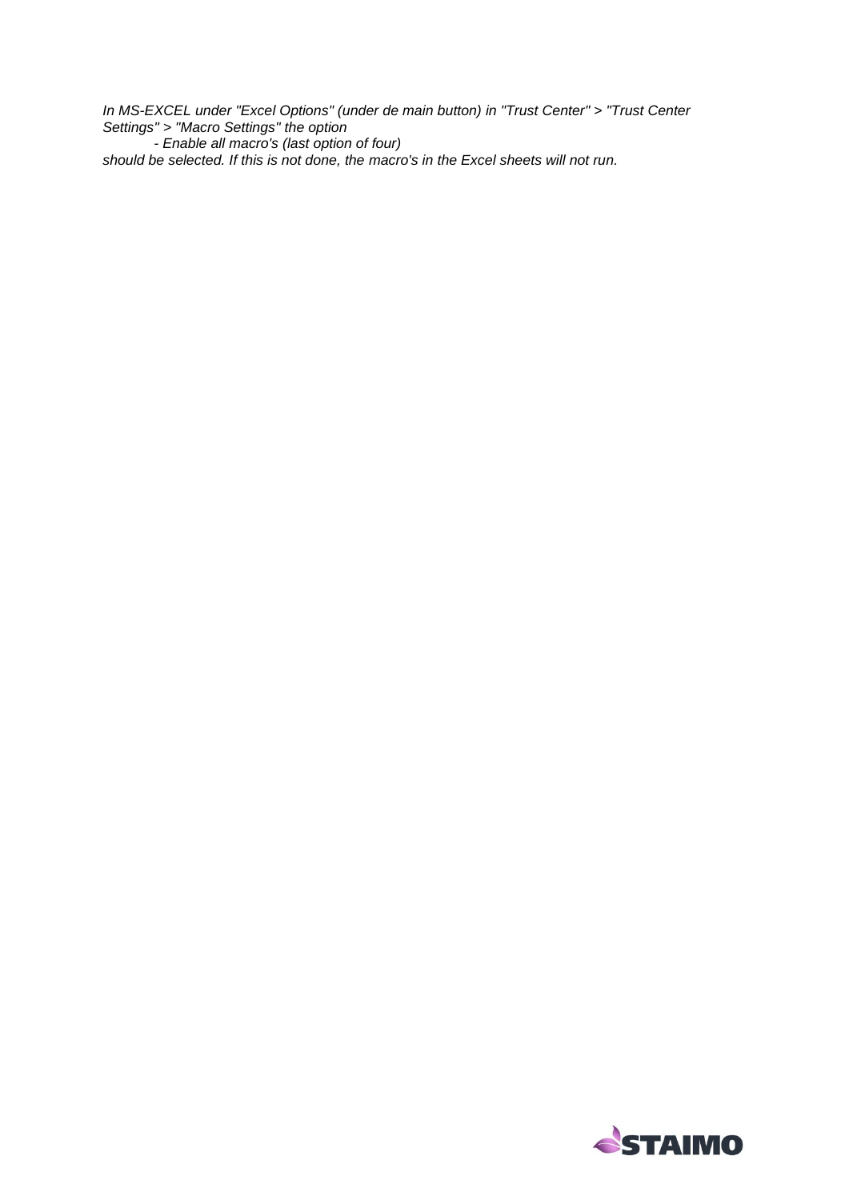*In MS-EXCEL under "Excel Options" (under de main button) in "Trust Center" > "Trust Center Settings" > "Macro Settings" the option - Enable all macro's (last option of four) should be selected. If this is not done, the macro's in the Excel sheets will not run.*

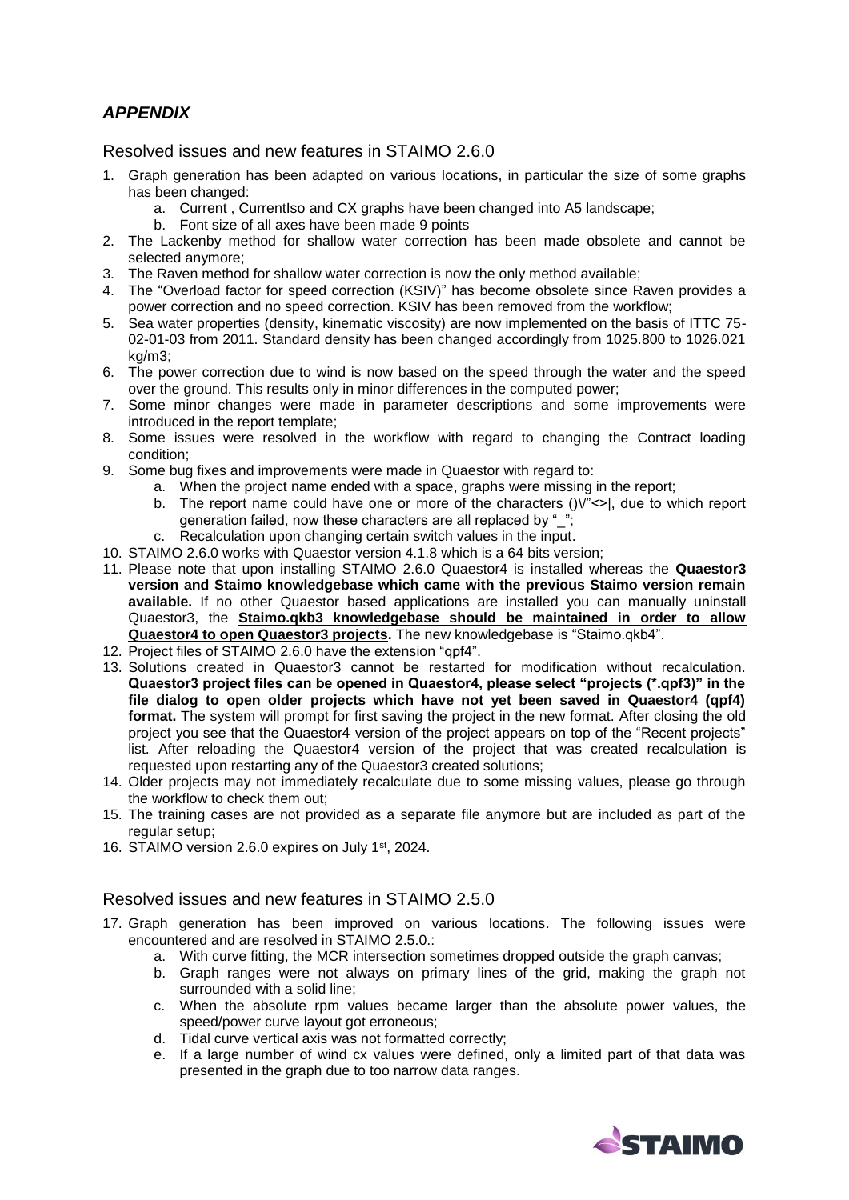# *APPENDIX*

Resolved issues and new features in STAIMO 2.6.0

- 1. Graph generation has been adapted on various locations, in particular the size of some graphs has been changed:
	- a. Current, CurrentIso and CX graphs have been changed into A5 landscape;
	- b. Font size of all axes have been made 9 points
- 2. The Lackenby method for shallow water correction has been made obsolete and cannot be selected anymore;
- 3. The Raven method for shallow water correction is now the only method available;
- 4. The "Overload factor for speed correction (KSIV)" has become obsolete since Raven provides a power correction and no speed correction. KSIV has been removed from the workflow;
- 5. Sea water properties (density, kinematic viscosity) are now implemented on the basis of ITTC 75- 02-01-03 from 2011. Standard density has been changed accordingly from 1025.800 to 1026.021 kg/m3;
- 6. The power correction due to wind is now based on the speed through the water and the speed over the ground. This results only in minor differences in the computed power;
- 7. Some minor changes were made in parameter descriptions and some improvements were introduced in the report template;
- 8. Some issues were resolved in the workflow with regard to changing the Contract loading condition;
- 9. Some bug fixes and improvements were made in Quaestor with regard to:
	- a. When the project name ended with a space, graphs were missing in the report;
	- b. The report name could have one or more of the characters  $(|V|^{m}<|)$ , due to which report generation failed, now these characters are all replaced by "\_";
	- c. Recalculation upon changing certain switch values in the input.
- 10. STAIMO 2.6.0 works with Quaestor version 4.1.8 which is a 64 bits version;
- 11. Please note that upon installing STAIMO 2.6.0 Quaestor4 is installed whereas the **Quaestor3 version and Staimo knowledgebase which came with the previous Staimo version remain available.** If no other Quaestor based applications are installed you can manually uninstall Quaestor3, the **Staimo.qkb3 knowledgebase should be maintained in order to allow Quaestor4 to open Quaestor3 projects.** The new knowledgebase is "Staimo.qkb4".
- 12. Project files of STAIMO 2.6.0 have the extension "qpf4".
- 13. Solutions created in Quaestor3 cannot be restarted for modification without recalculation. **Quaestor3 project files can be opened in Quaestor4, please select "projects (\*.qpf3)" in the file dialog to open older projects which have not yet been saved in Quaestor4 (qpf4) format.** The system will prompt for first saving the project in the new format. After closing the old project you see that the Quaestor4 version of the project appears on top of the "Recent projects" list. After reloading the Quaestor4 version of the project that was created recalculation is requested upon restarting any of the Quaestor3 created solutions;
- 14. Older projects may not immediately recalculate due to some missing values, please go through the workflow to check them out;
- 15. The training cases are not provided as a separate file anymore but are included as part of the regular setup;
- 16. STAIMO version 2.6.0 expires on July 1 st, 2024.

### Resolved issues and new features in STAIMO 2.5.0

- 17. Graph generation has been improved on various locations. The following issues were encountered and are resolved in STAIMO 2.5.0.:
	- a. With curve fitting, the MCR intersection sometimes dropped outside the graph canvas;
	- b. Graph ranges were not always on primary lines of the grid, making the graph not surrounded with a solid line:
	- c. When the absolute rpm values became larger than the absolute power values, the speed/power curve layout got erroneous;
	- d. Tidal curve vertical axis was not formatted correctly;
	- e. If a large number of wind cx values were defined, only a limited part of that data was presented in the graph due to too narrow data ranges.

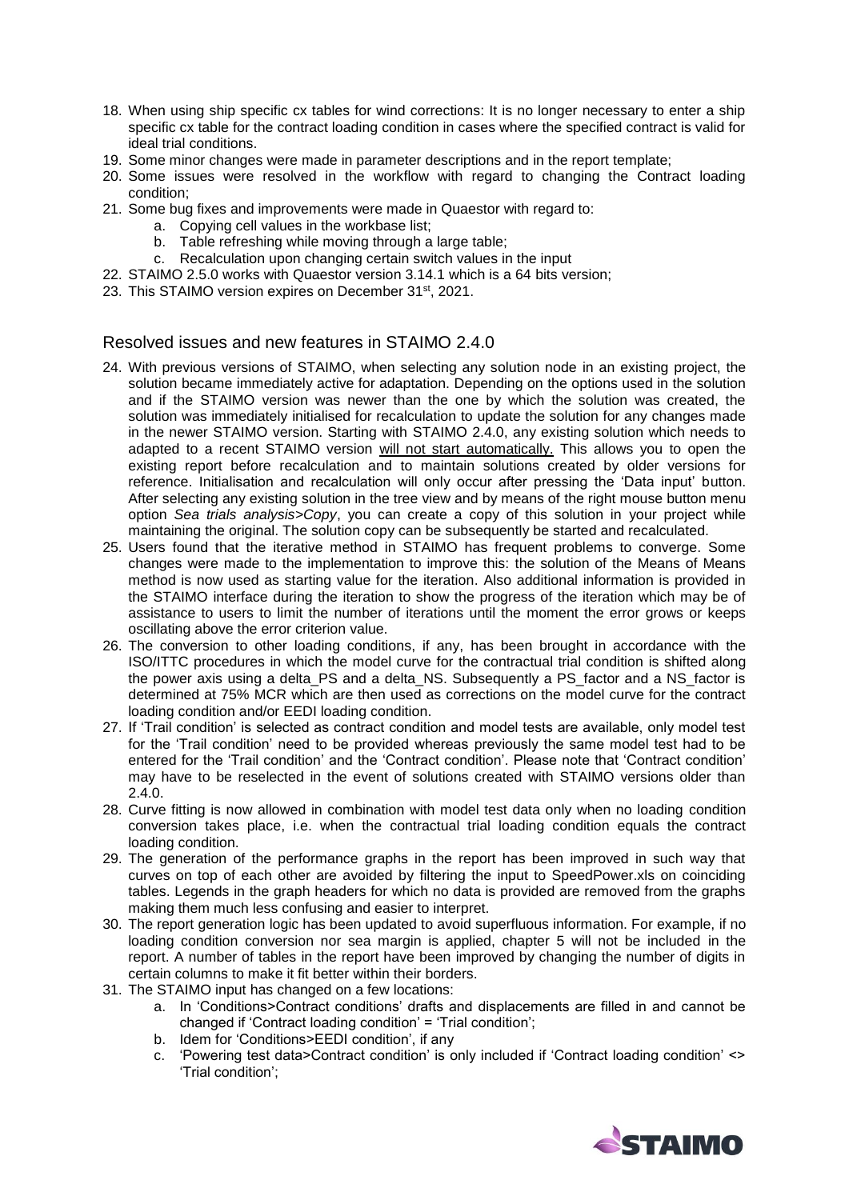- 18. When using ship specific cx tables for wind corrections: It is no longer necessary to enter a ship specific cx table for the contract loading condition in cases where the specified contract is valid for ideal trial conditions.
- 19. Some minor changes were made in parameter descriptions and in the report template;
- 20. Some issues were resolved in the workflow with regard to changing the Contract loading condition;
- 21. Some bug fixes and improvements were made in Quaestor with regard to:
	- a. Copying cell values in the workbase list;
	- b. Table refreshing while moving through a large table;
	- c. Recalculation upon changing certain switch values in the input
- 22. STAIMO 2.5.0 works with Quaestor version 3.14.1 which is a 64 bits version;
- 23. This STAIMO version expires on December 31<sup>st</sup>, 2021.

### Resolved issues and new features in STAIMO 2.4.0

- 24. With previous versions of STAIMO, when selecting any solution node in an existing project, the solution became immediately active for adaptation. Depending on the options used in the solution and if the STAIMO version was newer than the one by which the solution was created, the solution was immediately initialised for recalculation to update the solution for any changes made in the newer STAIMO version. Starting with STAIMO 2.4.0, any existing solution which needs to adapted to a recent STAIMO version will not start automatically. This allows you to open the existing report before recalculation and to maintain solutions created by older versions for reference. Initialisation and recalculation will only occur after pressing the 'Data input' button. After selecting any existing solution in the tree view and by means of the right mouse button menu option *Sea trials analysis>Copy*, you can create a copy of this solution in your project while maintaining the original. The solution copy can be subsequently be started and recalculated.
- 25. Users found that the iterative method in STAIMO has frequent problems to converge. Some changes were made to the implementation to improve this: the solution of the Means of Means method is now used as starting value for the iteration. Also additional information is provided in the STAIMO interface during the iteration to show the progress of the iteration which may be of assistance to users to limit the number of iterations until the moment the error grows or keeps oscillating above the error criterion value.
- 26. The conversion to other loading conditions, if any, has been brought in accordance with the ISO/ITTC procedures in which the model curve for the contractual trial condition is shifted along the power axis using a delta\_PS and a delta\_NS. Subsequently a PS\_factor and a NS\_factor is determined at 75% MCR which are then used as corrections on the model curve for the contract loading condition and/or EEDI loading condition.
- 27. If 'Trail condition' is selected as contract condition and model tests are available, only model test for the 'Trail condition' need to be provided whereas previously the same model test had to be entered for the 'Trail condition' and the 'Contract condition'. Please note that 'Contract condition' may have to be reselected in the event of solutions created with STAIMO versions older than 2.4.0.
- 28. Curve fitting is now allowed in combination with model test data only when no loading condition conversion takes place, i.e. when the contractual trial loading condition equals the contract loading condition.
- 29. The generation of the performance graphs in the report has been improved in such way that curves on top of each other are avoided by filtering the input to SpeedPower.xls on coinciding tables. Legends in the graph headers for which no data is provided are removed from the graphs making them much less confusing and easier to interpret.
- 30. The report generation logic has been updated to avoid superfluous information. For example, if no loading condition conversion nor sea margin is applied, chapter 5 will not be included in the report. A number of tables in the report have been improved by changing the number of digits in certain columns to make it fit better within their borders.
- 31. The STAIMO input has changed on a few locations:
	- a. In 'Conditions>Contract conditions' drafts and displacements are filled in and cannot be changed if 'Contract loading condition' = 'Trial condition';
	- b. Idem for 'Conditions>EEDI condition', if any
	- c. 'Powering test data>Contract condition' is only included if 'Contract loading condition' <> 'Trial condition';

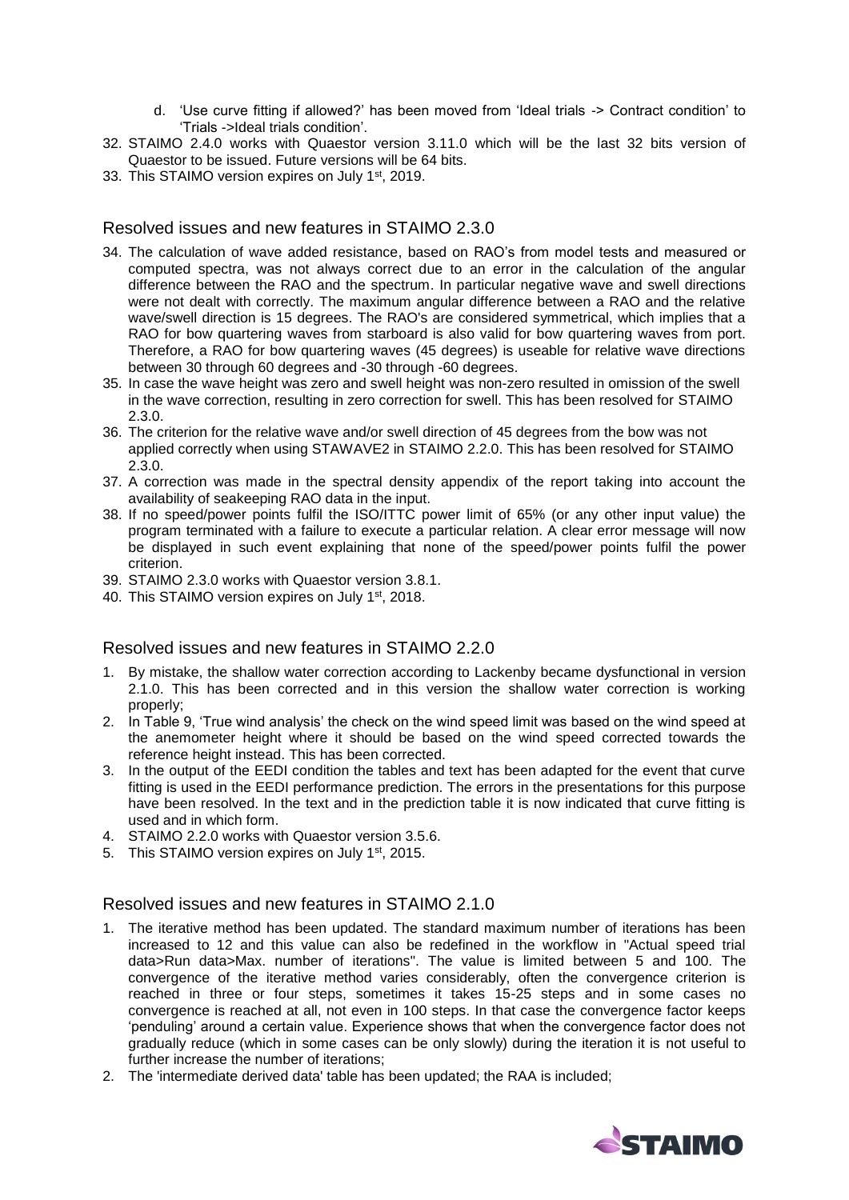- d. 'Use curve fitting if allowed?' has been moved from 'Ideal trials -> Contract condition' to 'Trials ->Ideal trials condition'.
- 32. STAIMO 2.4.0 works with Quaestor version 3.11.0 which will be the last 32 bits version of Quaestor to be issued. Future versions will be 64 bits.
- 33. This STAIMO version expires on July 1<sup>st</sup>, 2019.

#### Resolved issues and new features in STAIMO 2.3.0

- 34. The calculation of wave added resistance, based on RAO's from model tests and measured or computed spectra, was not always correct due to an error in the calculation of the angular difference between the RAO and the spectrum. In particular negative wave and swell directions were not dealt with correctly. The maximum angular difference between a RAO and the relative wave/swell direction is 15 degrees. The RAO's are considered symmetrical, which implies that a RAO for bow quartering waves from starboard is also valid for bow quartering waves from port. Therefore, a RAO for bow quartering waves (45 degrees) is useable for relative wave directions between 30 through 60 degrees and -30 through -60 degrees.
- 35. In case the wave height was zero and swell height was non-zero resulted in omission of the swell in the wave correction, resulting in zero correction for swell. This has been resolved for STAIMO 2.3.0.
- 36. The criterion for the relative wave and/or swell direction of 45 degrees from the bow was not applied correctly when using STAWAVE2 in STAIMO 2.2.0. This has been resolved for STAIMO 2.3.0.
- 37. A correction was made in the spectral density appendix of the report taking into account the availability of seakeeping RAO data in the input.
- 38. If no speed/power points fulfil the ISO/ITTC power limit of 65% (or any other input value) the program terminated with a failure to execute a particular relation. A clear error message will now be displayed in such event explaining that none of the speed/power points fulfil the power criterion.
- 39. STAIMO 2.3.0 works with Quaestor version 3.8.1.
- 40. This STAIMO version expires on July 1<sup>st</sup>, 2018.

#### Resolved issues and new features in STAIMO 2.2.0

- 1. By mistake, the shallow water correction according to Lackenby became dysfunctional in version 2.1.0. This has been corrected and in this version the shallow water correction is working properly;
- 2. In Table 9, 'True wind analysis' the check on the wind speed limit was based on the wind speed at the anemometer height where it should be based on the wind speed corrected towards the reference height instead. This has been corrected.
- 3. In the output of the EEDI condition the tables and text has been adapted for the event that curve fitting is used in the EEDI performance prediction. The errors in the presentations for this purpose have been resolved. In the text and in the prediction table it is now indicated that curve fitting is used and in which form.
- 4. STAIMO 2.2.0 works with Quaestor version 3.5.6.
- 5. This STAIMO version expires on July 1<sup>st</sup>, 2015.

### Resolved issues and new features in STAIMO 2.1.0

- 1. The iterative method has been updated. The standard maximum number of iterations has been increased to 12 and this value can also be redefined in the workflow in "Actual speed trial data>Run data>Max. number of iterations". The value is limited between 5 and 100. The convergence of the iterative method varies considerably, often the convergence criterion is reached in three or four steps, sometimes it takes 15-25 steps and in some cases no convergence is reached at all, not even in 100 steps. In that case the convergence factor keeps 'penduling' around a certain value. Experience shows that when the convergence factor does not gradually reduce (which in some cases can be only slowly) during the iteration it is not useful to further increase the number of iterations;
- 2. The 'intermediate derived data' table has been updated; the RAA is included;

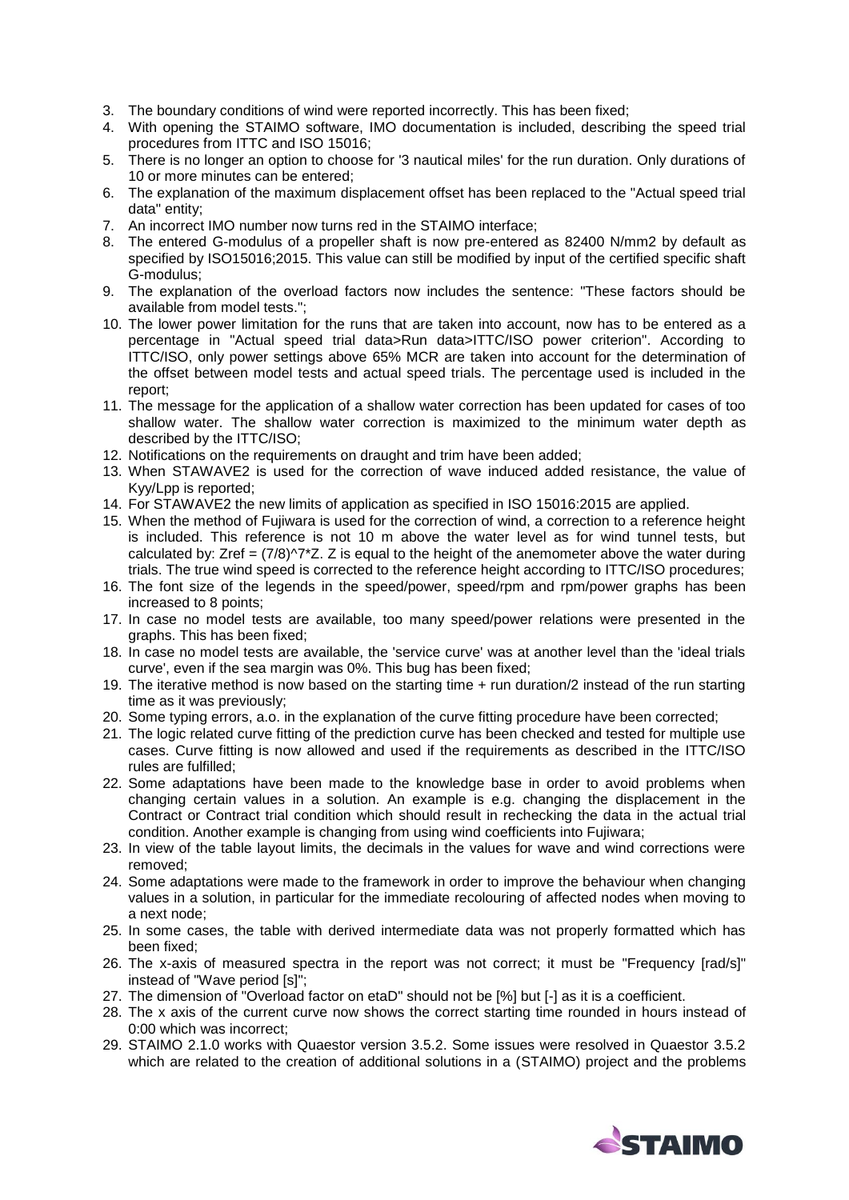- 3. The boundary conditions of wind were reported incorrectly. This has been fixed;
- 4. With opening the STAIMO software, IMO documentation is included, describing the speed trial procedures from ITTC and ISO 15016;
- 5. There is no longer an option to choose for '3 nautical miles' for the run duration. Only durations of 10 or more minutes can be entered;
- 6. The explanation of the maximum displacement offset has been replaced to the "Actual speed trial data" entity;
- 7. An incorrect IMO number now turns red in the STAIMO interface;
- 8. The entered G-modulus of a propeller shaft is now pre-entered as 82400 N/mm2 by default as specified by ISO15016;2015. This value can still be modified by input of the certified specific shaft G-modulus;
- 9. The explanation of the overload factors now includes the sentence: "These factors should be available from model tests.";
- 10. The lower power limitation for the runs that are taken into account, now has to be entered as a percentage in "Actual speed trial data>Run data>ITTC/ISO power criterion". According to ITTC/ISO, only power settings above 65% MCR are taken into account for the determination of the offset between model tests and actual speed trials. The percentage used is included in the report;
- 11. The message for the application of a shallow water correction has been updated for cases of too shallow water. The shallow water correction is maximized to the minimum water depth as described by the ITTC/ISO;
- 12. Notifications on the requirements on draught and trim have been added;
- 13. When STAWAVE2 is used for the correction of wave induced added resistance, the value of Kyy/Lpp is reported;
- 14. For STAWAVE2 the new limits of application as specified in ISO 15016:2015 are applied.
- 15. When the method of Fujiwara is used for the correction of wind, a correction to a reference height is included. This reference is not 10 m above the water level as for wind tunnel tests, but calculated by: Zref =  $(7/8)^{7*}Z$ . Z is equal to the height of the anemometer above the water during trials. The true wind speed is corrected to the reference height according to ITTC/ISO procedures;
- 16. The font size of the legends in the speed/power, speed/rpm and rpm/power graphs has been increased to 8 points;
- 17. In case no model tests are available, too many speed/power relations were presented in the graphs. This has been fixed;
- 18. In case no model tests are available, the 'service curve' was at another level than the 'ideal trials curve', even if the sea margin was 0%. This bug has been fixed;
- 19. The iterative method is now based on the starting time + run duration/2 instead of the run starting time as it was previously;
- 20. Some typing errors, a.o. in the explanation of the curve fitting procedure have been corrected;
- 21. The logic related curve fitting of the prediction curve has been checked and tested for multiple use cases. Curve fitting is now allowed and used if the requirements as described in the ITTC/ISO rules are fulfilled;
- 22. Some adaptations have been made to the knowledge base in order to avoid problems when changing certain values in a solution. An example is e.g. changing the displacement in the Contract or Contract trial condition which should result in rechecking the data in the actual trial condition. Another example is changing from using wind coefficients into Fujiwara;
- 23. In view of the table layout limits, the decimals in the values for wave and wind corrections were removed;
- 24. Some adaptations were made to the framework in order to improve the behaviour when changing values in a solution, in particular for the immediate recolouring of affected nodes when moving to a next node;
- 25. In some cases, the table with derived intermediate data was not properly formatted which has been fixed;
- 26. The x-axis of measured spectra in the report was not correct; it must be "Frequency [rad/s]" instead of "Wave period [s]";
- 27. The dimension of "Overload factor on etaD" should not be [%] but [-] as it is a coefficient.
- 28. The x axis of the current curve now shows the correct starting time rounded in hours instead of 0:00 which was incorrect;
- 29. STAIMO 2.1.0 works with Quaestor version 3.5.2. Some issues were resolved in Quaestor 3.5.2 which are related to the creation of additional solutions in a (STAIMO) project and the problems

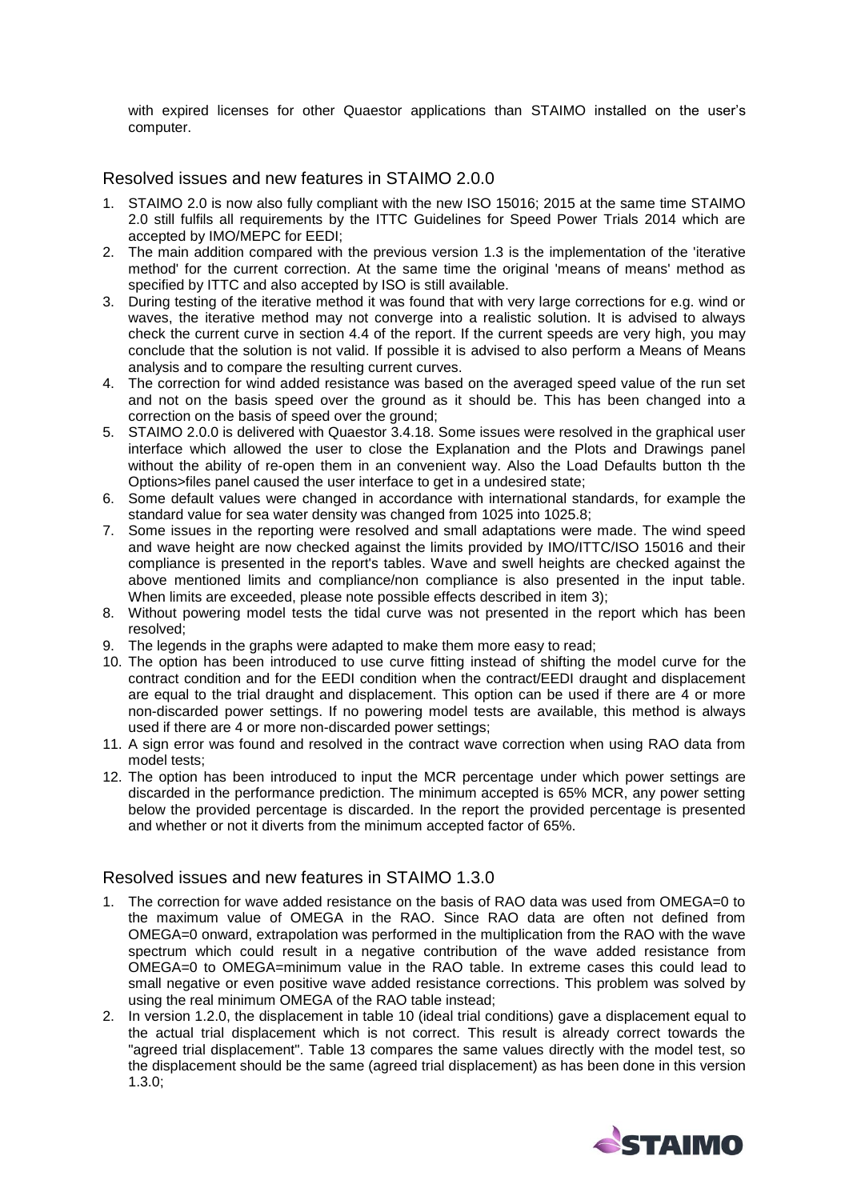with expired licenses for other Quaestor applications than STAIMO installed on the user's computer.

Resolved issues and new features in STAIMO 2.0.0

- 1. STAIMO 2.0 is now also fully compliant with the new ISO 15016; 2015 at the same time STAIMO 2.0 still fulfils all requirements by the ITTC Guidelines for Speed Power Trials 2014 which are accepted by IMO/MEPC for EEDI;
- 2. The main addition compared with the previous version 1.3 is the implementation of the 'iterative method' for the current correction. At the same time the original 'means of means' method as specified by ITTC and also accepted by ISO is still available.
- 3. During testing of the iterative method it was found that with very large corrections for e.g. wind or waves, the iterative method may not converge into a realistic solution. It is advised to always check the current curve in section 4.4 of the report. If the current speeds are very high, you may conclude that the solution is not valid. If possible it is advised to also perform a Means of Means analysis and to compare the resulting current curves.
- 4. The correction for wind added resistance was based on the averaged speed value of the run set and not on the basis speed over the ground as it should be. This has been changed into a correction on the basis of speed over the ground;
- 5. STAIMO 2.0.0 is delivered with Quaestor 3.4.18. Some issues were resolved in the graphical user interface which allowed the user to close the Explanation and the Plots and Drawings panel without the ability of re-open them in an convenient way. Also the Load Defaults button th the Options>files panel caused the user interface to get in a undesired state;
- 6. Some default values were changed in accordance with international standards, for example the standard value for sea water density was changed from 1025 into 1025.8;
- 7. Some issues in the reporting were resolved and small adaptations were made. The wind speed and wave height are now checked against the limits provided by IMO/ITTC/ISO 15016 and their compliance is presented in the report's tables. Wave and swell heights are checked against the above mentioned limits and compliance/non compliance is also presented in the input table. When limits are exceeded, please note possible effects described in item 3);
- 8. Without powering model tests the tidal curve was not presented in the report which has been resolved;
- 9. The legends in the graphs were adapted to make them more easy to read;
- 10. The option has been introduced to use curve fitting instead of shifting the model curve for the contract condition and for the EEDI condition when the contract/EEDI draught and displacement are equal to the trial draught and displacement. This option can be used if there are  $4$  or more non-discarded power settings. If no powering model tests are available, this method is always used if there are 4 or more non-discarded power settings;
- 11. A sign error was found and resolved in the contract wave correction when using RAO data from model tests;
- 12. The option has been introduced to input the MCR percentage under which power settings are discarded in the performance prediction. The minimum accepted is 65% MCR, any power setting below the provided percentage is discarded. In the report the provided percentage is presented and whether or not it diverts from the minimum accepted factor of 65%.

## Resolved issues and new features in STAIMO 1.3.0

- 1. The correction for wave added resistance on the basis of RAO data was used from OMEGA=0 to the maximum value of OMEGA in the RAO. Since RAO data are often not defined from OMEGA=0 onward, extrapolation was performed in the multiplication from the RAO with the wave spectrum which could result in a negative contribution of the wave added resistance from OMEGA=0 to OMEGA=minimum value in the RAO table. In extreme cases this could lead to small negative or even positive wave added resistance corrections. This problem was solved by using the real minimum OMEGA of the RAO table instead;
- 2. In version 1.2.0, the displacement in table 10 (ideal trial conditions) gave a displacement equal to the actual trial displacement which is not correct. This result is already correct towards the "agreed trial displacement". Table 13 compares the same values directly with the model test, so the displacement should be the same (agreed trial displacement) as has been done in this version 1.3.0;